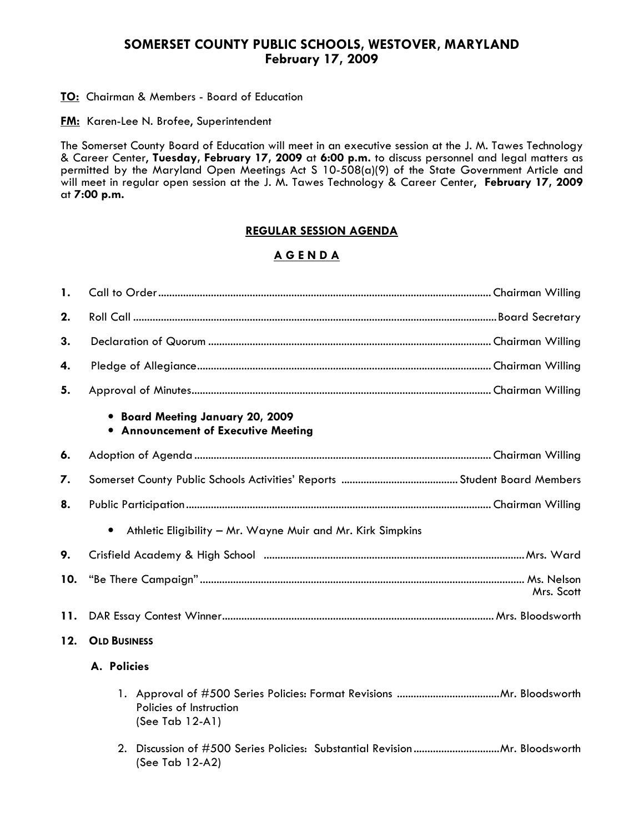#### SOMERSET COUNTY PUBLIC SCHOOLS, WESTOVER, MARYLAND February 17, 2009

#### **TO:** Chairman & Members - Board of Education

**FM:** Karen-Lee N. Brofee, Superintendent

The Somerset County Board of Education will meet in an executive session at the J. M. Tawes Technology & Career Center, Tuesday, February 17, 2009 at 6:00 p.m. to discuss personnel and legal matters as permitted by the Maryland Open Meetings Act S 10-508(a)(9) of the State Government Article and will meet in regular open session at the J. M. Tawes Technology & Career Center, February 17, 2009 at 7:00 p.m.

#### REGULAR SESSION AGENDA

### A G E N D A

| 1.  |                                                                          |  |  |  |  |
|-----|--------------------------------------------------------------------------|--|--|--|--|
| 2.  |                                                                          |  |  |  |  |
| 3.  |                                                                          |  |  |  |  |
| 4.  |                                                                          |  |  |  |  |
| 5.  |                                                                          |  |  |  |  |
|     | • Board Meeting January 20, 2009<br>• Announcement of Executive Meeting  |  |  |  |  |
| 6.  |                                                                          |  |  |  |  |
| 7.  |                                                                          |  |  |  |  |
| 8.  |                                                                          |  |  |  |  |
|     | $\bullet$<br>Athletic Eligibility - Mr. Wayne Muir and Mr. Kirk Simpkins |  |  |  |  |
| 9.  |                                                                          |  |  |  |  |
| 10. | Mrs. Scott                                                               |  |  |  |  |
| 11. |                                                                          |  |  |  |  |
| 12. | <b>OLD BUSINESS</b>                                                      |  |  |  |  |
|     | A. Policies                                                              |  |  |  |  |
|     | Policies of Instruction<br>(See Tab 12-A1)                               |  |  |  |  |
|     | (See Tab 12-A2)                                                          |  |  |  |  |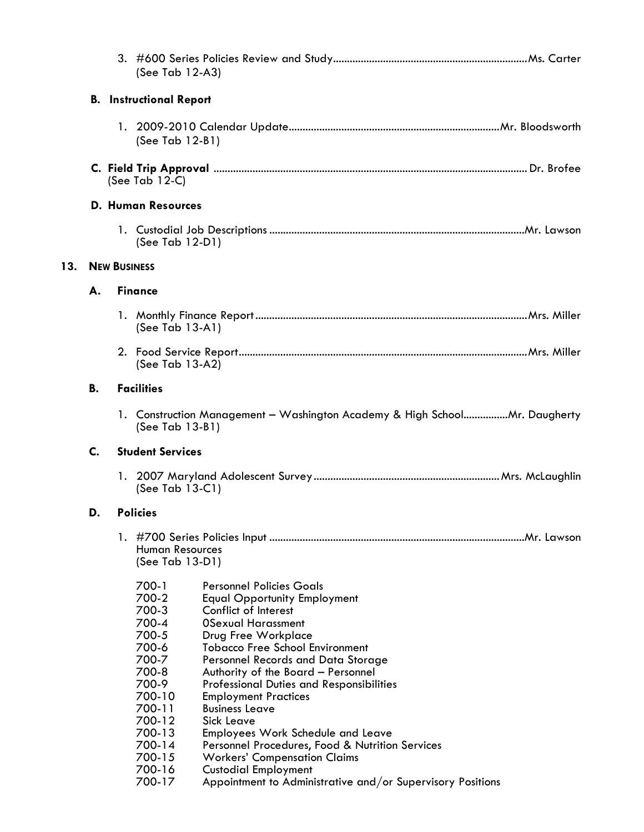|     |                                |                                                                                               | (See Tab 12-A3)                                                                                                                                               |                                                                                                                                                                                                                                                                                                                                                                                                                                                                                                                                                                                                                                      |  |
|-----|--------------------------------|-----------------------------------------------------------------------------------------------|---------------------------------------------------------------------------------------------------------------------------------------------------------------|--------------------------------------------------------------------------------------------------------------------------------------------------------------------------------------------------------------------------------------------------------------------------------------------------------------------------------------------------------------------------------------------------------------------------------------------------------------------------------------------------------------------------------------------------------------------------------------------------------------------------------------|--|
|     | <b>B.</b> Instructional Report |                                                                                               |                                                                                                                                                               |                                                                                                                                                                                                                                                                                                                                                                                                                                                                                                                                                                                                                                      |  |
|     |                                |                                                                                               | (See Tab 12-B1)                                                                                                                                               |                                                                                                                                                                                                                                                                                                                                                                                                                                                                                                                                                                                                                                      |  |
|     |                                | (See Tab $12-C$ )                                                                             |                                                                                                                                                               |                                                                                                                                                                                                                                                                                                                                                                                                                                                                                                                                                                                                                                      |  |
|     |                                |                                                                                               | <b>D. Human Resources</b>                                                                                                                                     |                                                                                                                                                                                                                                                                                                                                                                                                                                                                                                                                                                                                                                      |  |
|     | (See Tab 12-D1)                |                                                                                               |                                                                                                                                                               |                                                                                                                                                                                                                                                                                                                                                                                                                                                                                                                                                                                                                                      |  |
| 13. | <b>NEW BUSINESS</b>            |                                                                                               |                                                                                                                                                               |                                                                                                                                                                                                                                                                                                                                                                                                                                                                                                                                                                                                                                      |  |
|     | А.                             |                                                                                               | <b>Finance</b>                                                                                                                                                |                                                                                                                                                                                                                                                                                                                                                                                                                                                                                                                                                                                                                                      |  |
|     | (See Tab $13-A1$ )             |                                                                                               |                                                                                                                                                               |                                                                                                                                                                                                                                                                                                                                                                                                                                                                                                                                                                                                                                      |  |
|     | (See Tab $13-A2$ )             |                                                                                               |                                                                                                                                                               |                                                                                                                                                                                                                                                                                                                                                                                                                                                                                                                                                                                                                                      |  |
|     | <b>B.</b>                      | <b>Facilities</b>                                                                             |                                                                                                                                                               |                                                                                                                                                                                                                                                                                                                                                                                                                                                                                                                                                                                                                                      |  |
|     |                                | 1. Construction Management - Washington Academy & High SchoolMr. Daugherty<br>(See Tab 13-B1) |                                                                                                                                                               |                                                                                                                                                                                                                                                                                                                                                                                                                                                                                                                                                                                                                                      |  |
|     | $\mathsf{C}$ .                 |                                                                                               | <b>Student Services</b>                                                                                                                                       |                                                                                                                                                                                                                                                                                                                                                                                                                                                                                                                                                                                                                                      |  |
|     |                                |                                                                                               | (See Tab 13-C1)                                                                                                                                               |                                                                                                                                                                                                                                                                                                                                                                                                                                                                                                                                                                                                                                      |  |
|     | D.                             | <b>Policies</b>                                                                               |                                                                                                                                                               |                                                                                                                                                                                                                                                                                                                                                                                                                                                                                                                                                                                                                                      |  |
|     |                                | <b>Human Resources</b><br>(See Tab 13-D1)                                                     |                                                                                                                                                               |                                                                                                                                                                                                                                                                                                                                                                                                                                                                                                                                                                                                                                      |  |
|     |                                |                                                                                               | 700-1<br>700-2<br>700-3<br>700-4<br>700-5<br>700-6<br>700-7<br>700-8<br>700-9<br>700-10<br>700-11<br>700-12<br>700-13<br>700-14<br>700-15<br>700-16<br>700-17 | <b>Personnel Policies Goals</b><br><b>Equal Opportunity Employment</b><br>Conflict of Interest<br><b>OSexual Harassment</b><br>Drug Free Workplace<br><b>Tobacco Free School Environment</b><br>Personnel Records and Data Storage<br>Authority of the Board - Personnel<br><b>Professional Duties and Responsibilities</b><br><b>Employment Practices</b><br><b>Business Leave</b><br>Sick Leave<br><b>Employees Work Schedule and Leave</b><br>Personnel Procedures, Food & Nutrition Services<br><b>Workers' Compensation Claims</b><br><b>Custodial Employment</b><br>Appointment to Administrative and/or Supervisory Positions |  |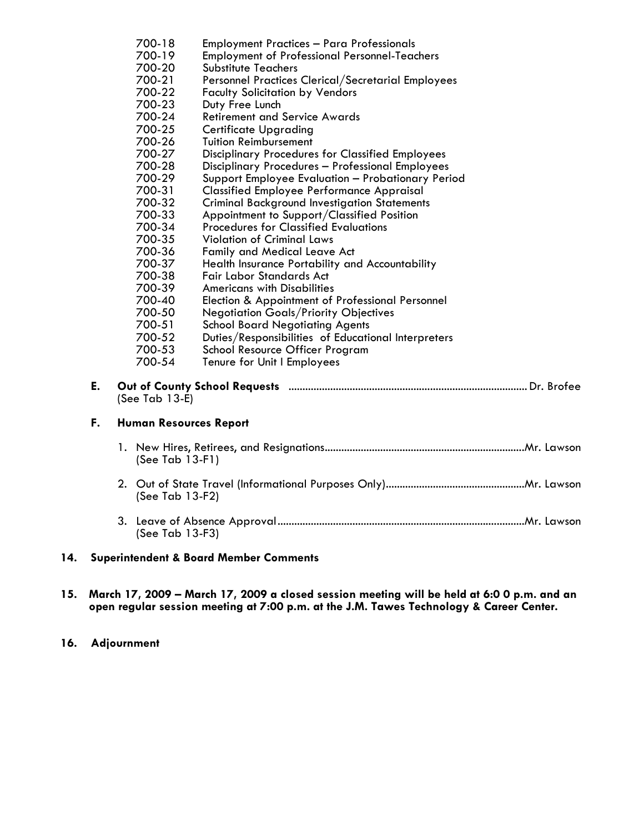|                                        |                         |                                                                        | 700-18 | <b>Employment Practices - Para Professionals</b>        |
|----------------------------------------|-------------------------|------------------------------------------------------------------------|--------|---------------------------------------------------------|
|                                        |                         |                                                                        | 700-19 | <b>Employment of Professional Personnel-Teachers</b>    |
|                                        |                         |                                                                        | 700-20 | Substitute Teachers                                     |
|                                        |                         |                                                                        | 700-21 | Personnel Practices Clerical/Secretarial Employees      |
|                                        |                         |                                                                        | 700-22 | <b>Faculty Solicitation by Vendors</b>                  |
|                                        |                         |                                                                        | 700-23 | Duty Free Lunch                                         |
|                                        | 700-24                  |                                                                        |        | <b>Retirement and Service Awards</b>                    |
| 700-25<br><b>Certificate Upgrading</b> |                         |                                                                        |        |                                                         |
|                                        |                         |                                                                        | 700-26 | <b>Tuition Reimbursement</b>                            |
|                                        |                         |                                                                        | 700-27 | <b>Disciplinary Procedures for Classified Employees</b> |
|                                        |                         |                                                                        | 700-28 | Disciplinary Procedures - Professional Employees        |
|                                        |                         |                                                                        | 700-29 | Support Employee Evaluation - Probationary Period       |
|                                        |                         |                                                                        | 700-31 | <b>Classified Employee Performance Appraisal</b>        |
|                                        |                         |                                                                        | 700-32 | <b>Criminal Background Investigation Statements</b>     |
|                                        |                         |                                                                        | 700-33 | Appointment to Support/Classified Position              |
|                                        |                         |                                                                        | 700-34 | <b>Procedures for Classified Evaluations</b>            |
|                                        |                         |                                                                        | 700-35 | <b>Violation of Criminal Laws</b>                       |
|                                        |                         |                                                                        | 700-36 | Family and Medical Leave Act                            |
|                                        |                         |                                                                        | 700-37 | Health Insurance Portability and Accountability         |
|                                        |                         |                                                                        | 700-38 | Fair Labor Standards Act                                |
|                                        |                         |                                                                        | 700-39 | <b>Americans with Disabilities</b>                      |
|                                        |                         |                                                                        | 700-40 | Election & Appointment of Professional Personnel        |
|                                        |                         |                                                                        | 700-50 | <b>Negotiation Goals/Priority Objectives</b>            |
|                                        |                         |                                                                        | 700-51 | <b>School Board Negotiating Agents</b>                  |
|                                        |                         |                                                                        | 700-52 | Duties/Responsibilities of Educational Interpreters     |
|                                        |                         |                                                                        | 700-53 | School Resource Officer Program                         |
|                                        |                         |                                                                        | 700-54 | Tenure for Unit I Employees                             |
|                                        | E.<br>(See Tab $13-E$ ) |                                                                        |        |                                                         |
|                                        | F.                      | <b>Human Resources Report</b><br>(See Tab $13-F1$ )<br>(See Tab 13-F2) |        |                                                         |
|                                        |                         |                                                                        |        |                                                         |
|                                        |                         |                                                                        |        |                                                         |
|                                        |                         | (See Tab 13-F3)                                                        |        |                                                         |
| 14.                                    |                         | <b>Superintendent &amp; Board Member Comments</b>                      |        |                                                         |

15. March 17, 2009 – March 17, 2009 a closed session meeting will be held at 6:0 0 p.m. and an open regular session meeting at 7:00 p.m. at the J.M. Tawes Technology & Career Center.

#### 16. Adjournment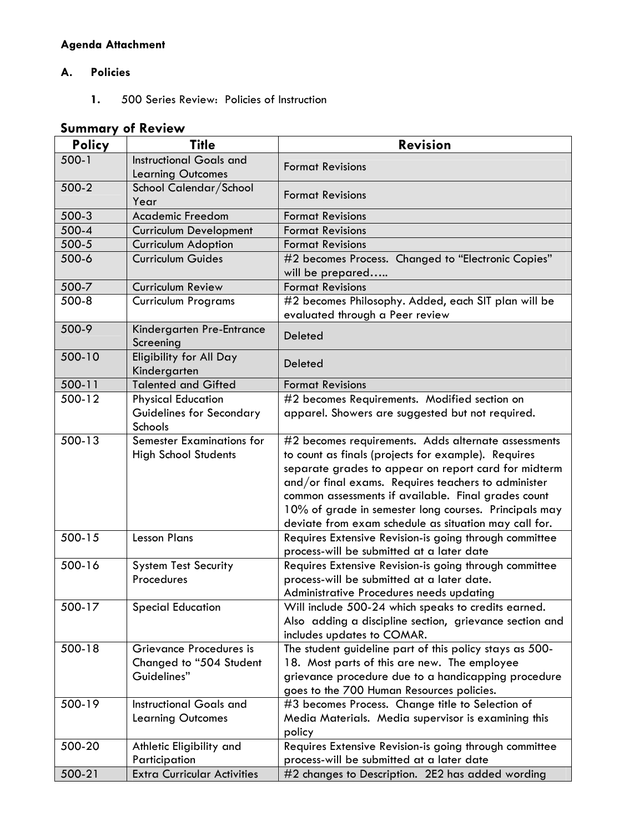# Agenda Attachment

### A. Policies

1. 500 Series Review: Policies of Instruction

# Summary of Review

| <b>Policy</b> | <b>Title</b>                                        | <b>Revision</b>                                                                                              |  |
|---------------|-----------------------------------------------------|--------------------------------------------------------------------------------------------------------------|--|
| $500-1$       | <b>Instructional Goals and</b>                      | <b>Format Revisions</b>                                                                                      |  |
|               | <b>Learning Outcomes</b>                            |                                                                                                              |  |
| 500-2         | School Calendar/School                              | <b>Format Revisions</b>                                                                                      |  |
|               | Year                                                |                                                                                                              |  |
| 500-3         | <b>Academic Freedom</b>                             | <b>Format Revisions</b>                                                                                      |  |
| 500-4         | <b>Curriculum Development</b>                       | <b>Format Revisions</b>                                                                                      |  |
| 500-5         | <b>Curriculum Adoption</b>                          | <b>Format Revisions</b>                                                                                      |  |
| 500-6         | <b>Curriculum Guides</b>                            | #2 becomes Process. Changed to "Electronic Copies"<br>will be prepared                                       |  |
| 500-7         | Curriculum Review                                   | <b>Format Revisions</b>                                                                                      |  |
| 500-8         | <b>Curriculum Programs</b>                          | #2 becomes Philosophy. Added, each SIT plan will be                                                          |  |
| 500-9         |                                                     | evaluated through a Peer review                                                                              |  |
|               | Kindergarten Pre-Entrance<br>Screening              | <b>Deleted</b>                                                                                               |  |
| 500-10        | Eligibility for All Day<br>Kindergarten             | <b>Deleted</b>                                                                                               |  |
| 500-11        | <b>Talented and Gifted</b>                          | <b>Format Revisions</b>                                                                                      |  |
| 500-12        | <b>Physical Education</b>                           | #2 becomes Requirements. Modified section on                                                                 |  |
|               | Guidelines for Secondary                            | apparel. Showers are suggested but not required.                                                             |  |
|               | Schools                                             |                                                                                                              |  |
| 500-13        | <b>Semester Examinations for</b>                    | #2 becomes requirements. Adds alternate assessments                                                          |  |
|               | <b>High School Students</b>                         | to count as finals (projects for example). Requires                                                          |  |
|               |                                                     | separate grades to appear on report card for midterm                                                         |  |
|               |                                                     | and/or final exams. Requires teachers to administer                                                          |  |
|               |                                                     | common assessments if available. Final grades count<br>10% of grade in semester long courses. Principals may |  |
|               |                                                     | deviate from exam schedule as situation may call for.                                                        |  |
| 500-15        | <b>Lesson Plans</b>                                 | Requires Extensive Revision-is going through committee                                                       |  |
|               |                                                     | process-will be submitted at a later date                                                                    |  |
| 500-16        | <b>System Test Security</b>                         | Requires Extensive Revision-is going through committee                                                       |  |
|               | Procedures                                          | process-will be submitted at a later date.                                                                   |  |
|               |                                                     | Administrative Procedures needs updating                                                                     |  |
| 500-17        | <b>Special Education</b>                            | Will include 500-24 which speaks to credits earned.                                                          |  |
|               |                                                     | Also adding a discipline section, grievance section and                                                      |  |
|               |                                                     | includes updates to COMAR.                                                                                   |  |
| 500-18        | Grievance Procedures is                             | The student guideline part of this policy stays as 500-                                                      |  |
|               | Changed to "504 Student                             | 18. Most parts of this are new. The employee                                                                 |  |
|               | Guidelines"                                         | grievance procedure due to a handicapping procedure                                                          |  |
|               |                                                     | goes to the 700 Human Resources policies.                                                                    |  |
| 500-19        | <b>Instructional Goals and</b>                      | #3 becomes Process. Change title to Selection of                                                             |  |
|               | <b>Learning Outcomes</b>                            | Media Materials. Media supervisor is examining this                                                          |  |
|               |                                                     | policy                                                                                                       |  |
| 500-20        | Athletic Eligibility and                            | Requires Extensive Revision-is going through committee                                                       |  |
| 500-21        | Participation<br><b>Extra Curricular Activities</b> | process-will be submitted at a later date                                                                    |  |
|               |                                                     | #2 changes to Description. 2E2 has added wording                                                             |  |